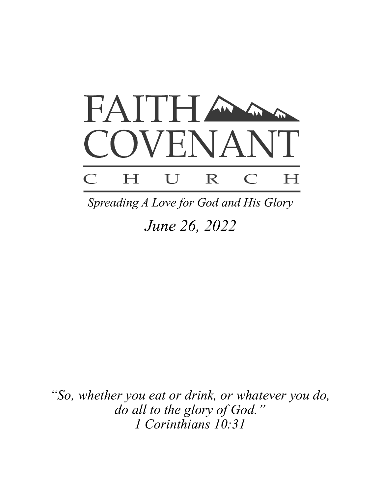

*June 26, 2022 Spreading A Love for God and His Glory*

*"So, whether you eat or drink, or whatever you do, do all to the glory of God." 1 Corinthians 10:31*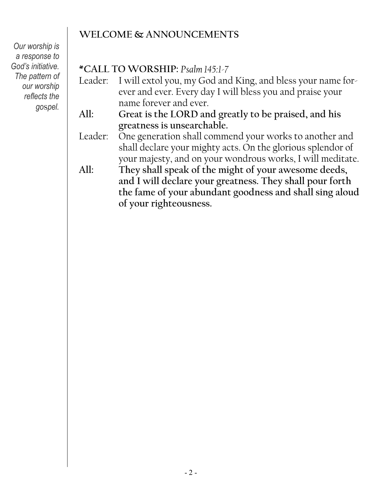# **WELCOME & ANNOUNCEMENTS**

*Our worship is a response to God's initiative. The pattern of our worship reflects the go*s*pel.*

# **\*CALL TO WORSHIP:** *Psalm 145:1-7*

- Leader: I will extol you, my God and King, and bless your name forever and ever. Every day I will bless you and praise your name forever and ever.
- **All: Great is the LORD and greatly to be praised, and his greatness is unsearchable.**
- Leader: One generation shall commend your works to another and shall declare your mighty acts. On the glorious splendor of your majesty, and on your wondrous works, I will meditate.
- **All: They shall speak of the might of your awesome deeds, and I will declare your greatness. They shall pour forth the fame of your abundant goodness and shall sing aloud of your righteousness.**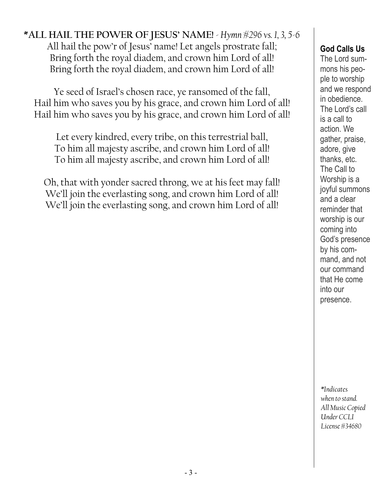## **\*ALL HAIL THE POWER OF JESUS' NAME!** *- Hymn #296 vs. 1, 3, 5-6* All hail the pow'r of Jesus' name! Let angels prostrate fall; Bring forth the royal diadem, and crown him Lord of all! Bring forth the royal diadem, and crown him Lord of all!

Ye seed of Israel's chosen race, ye ransomed of the fall, Hail him who saves you by his grace, and crown him Lord of all! Hail him who saves you by his grace, and crown him Lord of all!

Let every kindred, every tribe, on this terrestrial ball, To him all majesty ascribe, and crown him Lord of all! To him all majesty ascribe, and crown him Lord of all!

Oh, that with yonder sacred throng, we at his feet may fall! We'll join the everlasting song, and crown him Lord of all! We'll join the everlasting song, and crown him Lord of all!

#### **God Calls Us**

The Lord summons his people to worship and we respond in obedience. The Lord's call is a call to action. We gather, praise, adore, give thanks, etc. The Call to Worship is a joyful summons and a clear reminder that worship is our coming into God's presence by his command, and not our command that He come into our presence.

*\*Indicates when to stand. All Music Copied Under CCLI License #34680*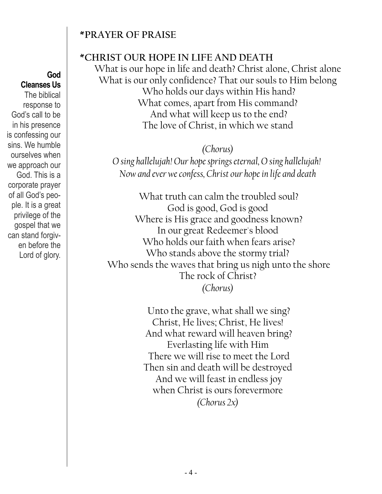# **\*PRAYER OF PRAISE**

## **\*CHRIST OUR HOPE IN LIFE AND DEATH**

What is our hope in life and death? Christ alone, Christ alone What is our only confidence? That our souls to Him belong Who holds our days within His hand? What comes, apart from His command? And what will keep us to the end? The love of Christ, in which we stand

*(Chorus)*

*O sing hallelujah! Our hope springs eternal, O sing hallelujah! Now and ever we confess, Christ our hope in life and death*

What truth can calm the troubled soul? God is good, God is good Where is His grace and goodness known? In our great Redeemer's blood Who holds our faith when fears arise? Who stands above the stormy trial? Who sends the waves that bring us nigh unto the shore The rock of Christ? *(Chorus)*

> Unto the grave, what shall we sing? Christ, He lives; Christ, He lives! And what reward will heaven bring? Everlasting life with Him There we will rise to meet the Lord Then sin and death will be destroyed And we will feast in endless joy when Christ is ours forevermore *(Chorus 2x)*

## **God Cleanses Us**

The biblical response to God's call to be in his presence is confessing our sins. We humble ourselves when we approach our God. This is a corporate prayer of all God's people. It is a great privilege of the gospel that we can stand forgiven before the Lord of glory.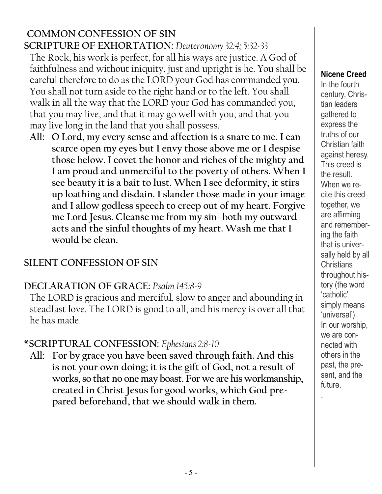# **COMMON CONFESSION OF SIN SCRIPTURE OF EXHORTATION:** *Deuteronomy 32:4; 5:32-33*

The Rock, his work is perfect, for all his ways are justice. A God of faithfulness and without iniquity, just and upright is he. You shall be careful therefore to do as the LORD your God has commanded you. You shall not turn aside to the right hand or to the left. You shall walk in all the way that the LORD your God has commanded you, that you may live, and that it may go well with you, and that you may live long in the land that you shall possess.

**All: O Lord, my every sense and affection is a snare to me. I can scarce open my eyes but I envy those above me or I despise those below. I covet the honor and riches of the mighty and I am proud and unmerciful to the poverty of others. When I see beauty it is a bait to lust. When I see deformity, it stirs up loathing and disdain. I slander those made in your image and I allow godless speech to creep out of my heart. Forgive me Lord Jesus. Cleanse me from my sin–both my outward acts and the sinful thoughts of my heart. Wash me that I would be clean.**

# **SILENT CONFESSION OF SIN**

# **DECLARATION OF GRACE:** *Psalm 145:8-9*

The LORD is gracious and merciful, slow to anger and abounding in steadfast love. The LORD is good to all, and his mercy is over all that he has made.

# **\*SCRIPTURAL CONFESSION:** *Ephesians 2:8-10*

**All: For by grace you have been saved through faith. And this is not your own doing; it is the gift of God, not a result of works, so that no one may boast. For we are his workmanship, created in Christ Jesus for good works, which God prepared beforehand, that we should walk in them.**

#### **Nicene Creed**

In the fourth century, Christian leaders gathered to express the truths of our Christian faith against heresy. This creed is the result. When we recite this creed together, we are affirming and remembering the faith that is universally held by all **Christians** throughout history (the word 'catholic' simply means 'universal'). In our worship, we are connected with others in the past, the pr*e*sent, and the future. .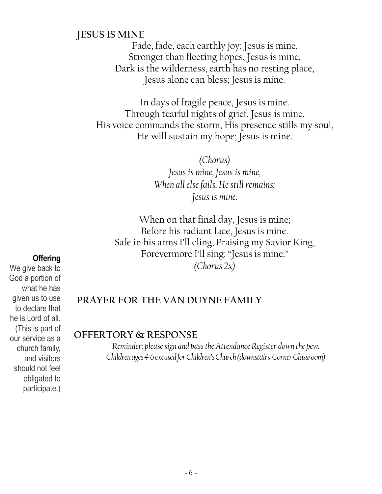# **JESUS IS MINE**

Fade, fade, each earthly joy; Jesus is mine. Stronger than fleeting hopes, Jesus is mine. Dark is the wilderness, earth has no resting place, Jesus alone can bless; Jesus is mine.

In days of fragile peace, Jesus is mine. Through tearful nights of grief, Jesus is mine. His voice commands the storm, His presence stills my soul, He will sustain my hope; Jesus is mine.

> *(Chorus) Jesus is mine, Jesus is mine, When all else fails, He still remains; Jesus is mine.*

When on that final day, Jesus is mine; Before his radiant face, Jesus is mine. Safe in his arms I'll cling, Praising my Savior King, Forevermore I'll sing: "Jesus is mine." *(Chorus 2x)*

# **PRAYER FOR THE VAN DUYNE FAMILY**

#### **OFFERTORY & RESPONSE**

*Reminder: please sign and pass the Attendance Register down the pew. Children ages 4-6 excused for Children's Church (downstairs Corner Classroom)*

#### **Offering**

We give back to God a portion of what he has given us to use to declare that he is Lord of all. (This is part of our service as a church family, and visitors should not feel obligated to participate.)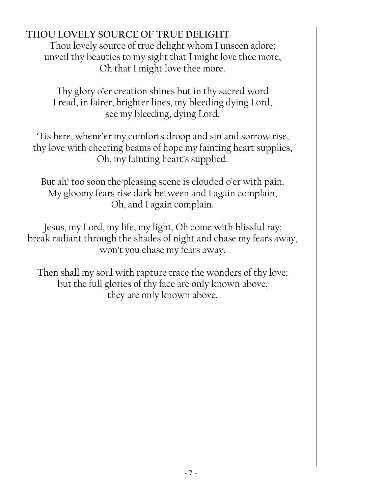## **THOU LOVELY SOURCE OF TRUE DELIGHT**

Thou lovely source of true delight whom I unseen adore; unveil thy beauties to my sight that I might love thee more, Oh that I might love thee more.

Thy glory o'er creation shines but in thy sacred word I read, in fairer, brighter lines, my bleeding dying Lord, see my bleeding, dying Lord.

'Tis here, whene'er my comforts droop and sin and sorrow rise, thy love with cheering beams of hope my fainting heart supplies, Oh, my fainting heart's supplied.

But ah! too soon the pleasing scene is clouded o'er with pain. My gloomy fears rise dark between and I again complain, Oh, and I again complain.

Jesus, my Lord, my life, my light, Oh come with blissful ray; break radiant through the shades of night and chase my fears away, won't you chase my fears away.

Then shall my soul with rapture trace the wonders of thy love; but the full glories of thy face are only known above, they are only known above.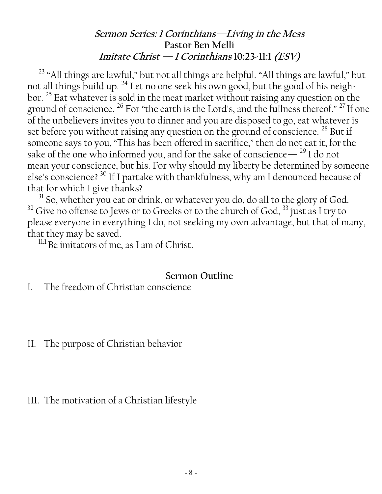## **Sermon Series: 1 Corinthians—Living in the Mess Pastor Ben Melli Imitate Christ — 1 Corinthians 10:23-11:1 (ESV)**

 $23$  "All things are lawful," but not all things are helpful. "All things are lawful," but not all things build up. <sup>24</sup> Let no one seek his own good, but the good of his neighbor. <sup>25</sup> Eat whatever is sold in the meat market without raising any question on the ground of conscience. <sup>26</sup> For "the earth is the Lord's, and the fullness thereof." <sup>27</sup> If one of the unbelievers invites you to dinner and you are disposed to go, eat whatever is set before you without raising any question on the ground of conscience.  $^{28}$  But if someone says to you, "This has been offered in sacrifice," then do not eat it, for the sake of the one who informed you, and for the sake of conscience— $29$  I do not mean your conscience, but his. For why should my liberty be determined by someone else's conscience? <sup>30</sup> If I partake with thankfulness, why am I denounced because of that for which I give thanks?

 $31$  So, whether you eat or drink, or whatever you do, do all to the glory of God. <sup>32</sup> Give no offense to Jews or to Greeks or to the church of God, <sup>33</sup> just as I try to please everyone in everything I do, not seeking my own advantage, but that of many, that they may be saved.

<sup>11:1</sup> Be imitators of me, as I am of Christ.

# **Sermon Outline**

I. The freedom of Christian conscience

II. The purpose of Christian behavior

III. The motivation of a Christian lifestyle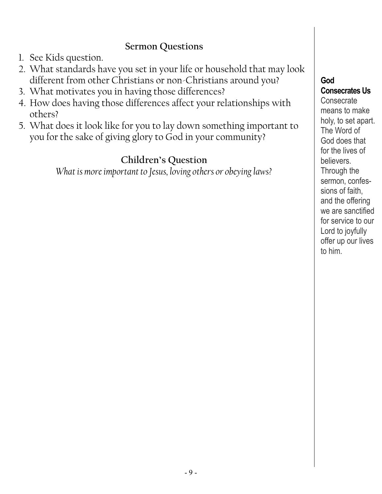# **Sermon Questions**

- 1. See Kids question.
- 2. What standards have you set in your life or household that may look different from other Christians or non-Christians around you?
- 3. What motivates you in having those differences?
- 4. How does having those differences affect your relationships with others?
- 5. What does it look like for you to lay down something important to you for the sake of giving glory to God in your community?

# **Children's Question**

*What is more important to Jesus, loving others or obeying laws?*

# **God**

**Consecrates Us Consecrate** means to make holy, to set apart. The Word of God does that for the lives of believers. Through the sermon, confessions of faith, and the offering we are sanctified for service to our Lord to joyfully offer up our lives to him.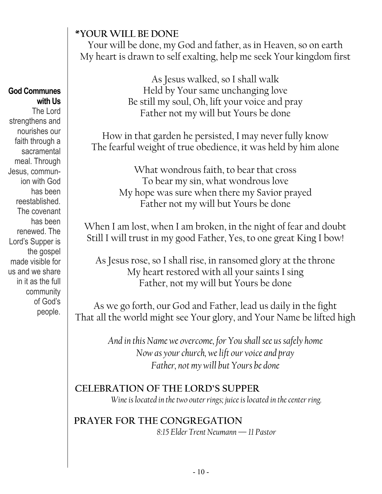# **\*YOUR WILL BE DONE**

Your will be done, my God and father, as in Heaven, so on earth My heart is drawn to self exalting, help me seek Your kingdom first

> As Jesus walked, so I shall walk Held by Your same unchanging love Be still my soul, Oh, lift your voice and pray Father not my will but Yours be done

How in that garden he persisted, I may never fully know The fearful weight of true obedience, it was held by him alone

> What wondrous faith, to bear that cross To bear my sin, what wondrous love My hope was sure when there my Savior prayed Father not my will but Yours be done

When I am lost, when I am broken, in the night of fear and doubt Still I will trust in my good Father, Yes, to one great King I bow!

As Jesus rose, so I shall rise, in ransomed glory at the throne My heart restored with all your saints I sing Father, not my will but Yours be done

As we go forth, our God and Father, lead us daily in the fight That all the world might see Your glory, and Your Name be lifted high

> *And in this Name we overcome, for You shall see us safely home Now as your church, we lift our voice and pray Father, not my will but Yours be done*

# **CELEBRATION OF THE LORD'S SUPPER**

*Wine is located in the two outer rings; juice is located in the center ring.*

**PRAYER FOR THE CONGREGATION** *8:15 Elder Trent Neumann — 11 Pastor*

#### **God Communes with Us**

The Lord strengthens and nourishes our faith through a sacramental meal. Through Jesus, communion with God has been reestablished. The covenant has been renewed. The Lord's Supper is the gospel made visible for us and we share in it as the full community of God's people.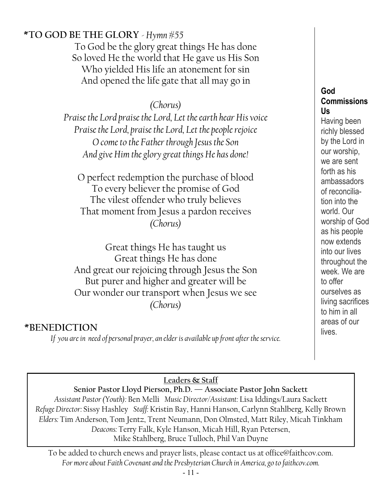## **\*TO GOD BE THE GLORY** *-Hymn #55*

To God be the glory great things He has done So loved He the world that He gave us His Son Who yielded His life an atonement for sin And opened the life gate that all may go in

*(Chorus)*

*Praise the Lord praise the Lord, Let the earth hear His voice Praise the Lord, praise the Lord, Let the people rejoice O come to the Father through Jesus the Son And give Him the glory great things He has done!*

O perfect redemption the purchase of blood To every believer the promise of God The vilest offender who truly believes That moment from Jesus a pardon receives *(Chorus)*

Great things He has taught us Great things He has done And great our rejoicing through Jesus the Son But purer and higher and greater will be Our wonder our transport when Jesus we see *(Chorus)*

**\*BENEDICTION**

*If you are in need of personal prayer, an elder is available up front after the service.*

#### **God Commissions Us**

Having been richly blessed by the Lord in our worship, we are sent forth as his ambassadors of reconciliation into the world. Our worship of God as his people now extends into our lives throughout the week. We are to offer ourselves as living sacrifices to him in all areas of our lives.

## **Leaders & Staff**

**Senior Pastor Lloyd Pierson, Ph.D. — Associate Pastor John Sackett** *Assistant Pastor (Youth):* Ben Melli *Music Director/Assistant:* Lisa Iddings/Laura Sackett *Refuge Director:* Sissy Hashley *Staff:* Kristin Bay, Hanni Hanson, Carlynn Stahlberg, Kelly Brown *Elders:* Tim Anderson*,* Tom Jentz, Trent Neumann, Don Olmsted, Matt Riley, Micah Tinkham *Deacons:* Terry Falk, Kyle Hanson, Micah Hill, Ryan Petersen, Mike Stahlberg, Bruce Tulloch, Phil Van Duyne

To be added to church enews and prayer lists, please contact us at office@faithcov.com. *For more about Faith Covenant and the Presbyterian Church in America, go to faithcov.com.*